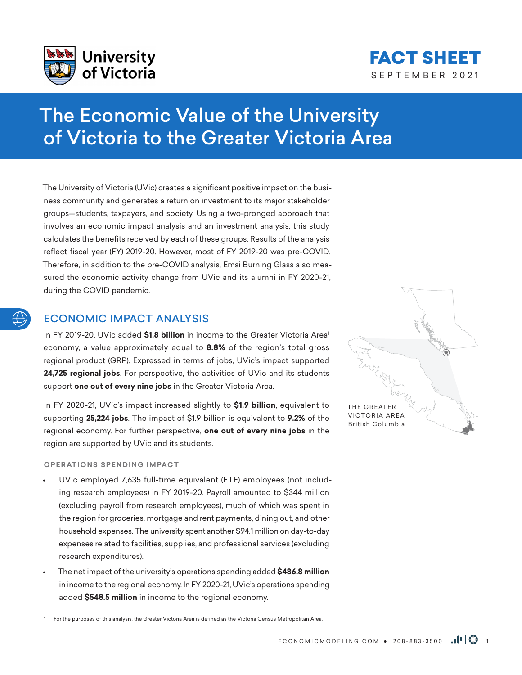



# The Economic Value of the University of Victoria to the Greater Victoria Area

The University of Victoria (UVic) creates a significant positive impact on the business community and generates a return on investment to its major stakeholder groups—students, taxpayers, and society. Using a two-pronged approach that involves an economic impact analysis and an investment analysis, this study calculates the benefits received by each of these groups. Results of the analysis reflect fiscal year (FY) 2019-20. However, most of FY 2019-20 was pre-COVID. Therefore, in addition to the pre-COVID analysis, Emsi Burning Glass also measured the economic activity change from UVic and its alumni in FY 2020-21, during the COVID pandemic.

# ECONOMIC IMPACT ANALYSIS

In FY 2019-20, UVic added \$1.8 billion in income to the Greater Victoria Area<sup>1</sup> economy, a value approximately equal to **8.8%** of the region's total gross regional product (GRP). Expressed in terms of jobs, UVic's impact supported **24,725 regional jobs**. For perspective, the activities of UVic and its students support **one out of every nine jobs** in the Greater Victoria Area.

In FY 2020-21, UVic's impact increased slightly to **\$1.9 billion**, equivalent to supporting **25,224 jobs**. The impact of \$1.9 billion is equivalent to **9.2%** of the regional economy. For further perspective, **one out of every nine jobs** in the region are supported by UVic and its students.

# **OPERATIONS SPENDING IMPACT**

- UVic employed 7,635 full-time equivalent (FTE) employees (not including research employees) in FY 2019-20. Payroll amounted to \$344 million (excluding payroll from research employees), much of which was spent in the region for groceries, mortgage and rent payments, dining out, and other household expenses. The university spent another \$94.1 million on day-to-day expenses related to facilities, supplies, and professional services (excluding research expenditures).
- The net impact of the university's operations spending added **\$486.8 million** in income to the regional economy. In FY 2020-21, UVic's operations spending added **\$548.5 million** in income to the regional economy.



1 For the purposes of this analysis, the Greater Victoria Area is defined as the Victoria Census Metropolitan Area.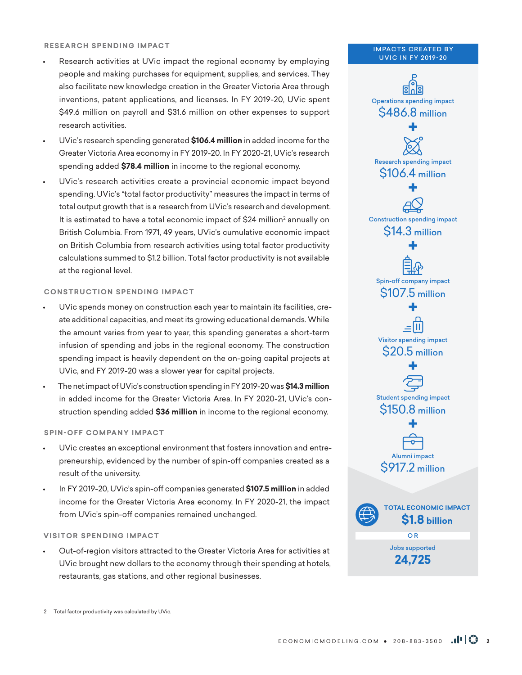## **RESEARCH SPENDING IMPACT**

- Research activities at UVic impact the regional economy by employing people and making purchases for equipment, supplies, and services. They also facilitate new knowledge creation in the Greater Victoria Area through inventions, patent applications, and licenses. In FY 2019-20, UVic spent \$49.6 million on payroll and \$31.6 million on other expenses to support research activities.
- UVic's research spending generated **\$106.4 million** in added income for the Greater Victoria Area economy in FY 2019-20. In FY 2020-21, UVic's research spending added **\$78.4 million** in income to the regional economy.
- UVic's research activities create a provincial economic impact beyond spending. UVic's "total factor productivity" measures the impact in terms of total output growth that is a research from UVic's research and development. It is estimated to have a total economic impact of \$24 million<sup>2</sup> annually on British Columbia. From 1971, 49 years, UVic's cumulative economic impact on British Columbia from research activities using total factor productivity calculations summed to \$1.2 billion. Total factor productivity is not available at the regional level.

# **CONSTRUCTION SPENDING IMPACT**

- UVic spends money on construction each year to maintain its facilities, create additional capacities, and meet its growing educational demands. While the amount varies from year to year, this spending generates a short-term infusion of spending and jobs in the regional economy. The construction spending impact is heavily dependent on the on-going capital projects at UVic, and FY 2019-20 was a slower year for capital projects.
- The net impact of UVic's construction spending in FY 2019-20 was **\$14.3 million** in added income for the Greater Victoria Area. In FY 2020-21, UVic's construction spending added **\$36 million** in income to the regional economy.

# **SPIN-OFF COMPANY IMPACT**

- UVic creates an exceptional environment that fosters innovation and entrepreneurship, evidenced by the number of spin-off companies created as a result of the university.
- In FY 2019-20, UVic's spin-off companies generated **\$107.5 million** in added income for the Greater Victoria Area economy. In FY 2020-21, the impact from UVic's spin-off companies remained unchanged.

# **VISITOR SPENDING IMPACT**

• Out-of-region visitors attracted to the Greater Victoria Area for activities at UVic brought new dollars to the economy through their spending at hotels, restaurants, gas stations, and other regional businesses.

#### **IMPACTS CREATED BY** UVIC IN FY 2019-20



2 Total factor productivity was calculated by UVic.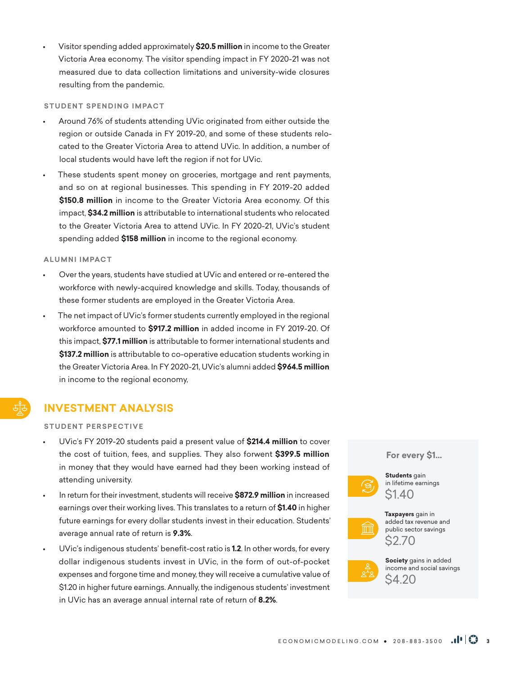• Visitor spending added approximately **\$20.5 million** in income to the Greater Victoria Area economy. The visitor spending impact in FY 2020-21 was not measured due to data collection limitations and university-wide closures resulting from the pandemic.

#### **STUDENT SPENDING IMPACT**

- Around 76% of students attending UVic originated from either outside the region or outside Canada in FY 2019-20, and some of these students relocated to the Greater Victoria Area to attend UVic. In addition, a number of local students would have left the region if not for UVic.
- These students spent money on groceries, mortgage and rent payments, and so on at regional businesses. This spending in FY 2019-20 added **\$150.8 million** in income to the Greater Victoria Area economy. Of this impact, **\$34.2 million** is attributable to international students who relocated to the Greater Victoria Area to attend UVic. In FY 2020-21, UVic's student spending added **\$158 million** in income to the regional economy.

#### **ALUMNI IMPACT**

- Over the years, students have studied at UVic and entered or re-entered the workforce with newly-acquired knowledge and skills. Today, thousands of these former students are employed in the Greater Victoria Area.
- The net impact of UVic's former students currently employed in the regional workforce amounted to **\$917.2 million** in added income in FY 2019-20. Of this impact, **\$77.1 million** is attributable to former international students and **\$137.2 million** is attributable to co-operative education students working in the Greater Victoria Area. In FY 2020-21, UVic's alumni added **\$964.5 million** in income to the regional economy,

# **INVESTMENT ANALYSIS**

# **STUDENT PERSPECTIVE**

- UVic's FY 2019-20 students paid a present value of **\$214.4 million** to cover the cost of tuition, fees, and supplies. They also forwent **\$399.5 million**  in money that they would have earned had they been working instead of attending university.
- In return for their investment, students will receive **\$872.9 million** in increased earnings over their working lives. This translates to a return of **\$1.40** in higher future earnings for every dollar students invest in their education. Students' average annual rate of return is **9.3%**.
- UVic's indigenous students' benefit-cost ratio is **1.2**. In other words, for every dollar indigenous students invest in UVic, in the form of out-of-pocket expenses and forgone time and money, they will receive a cumulative value of \$1.20 in higher future earnings. Annually, the indigenous students' investment in UVic has an average annual internal rate of return of **8.2%**.

#### **For every \$1…**



**Students** gain in lifetime earnings \$1.40



**Taxpayers** gain in added tax revenue and public sector savings \$2.70



**Society** gains in added income and social savings \$4.20